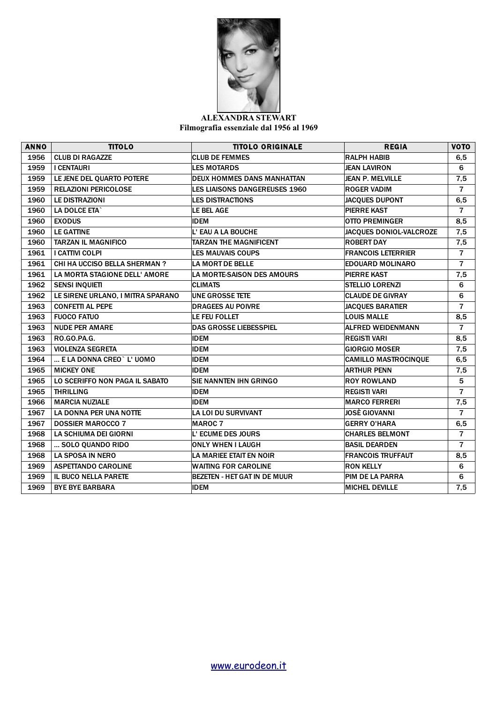

## **ALEXANDRA STEWART Filmografia essenziale dal 1956 al 1969**

| <b>ANNO</b> | <b>TITOLO</b>                     | <b>TITOLO ORIGINALE</b>           | <b>REGIA</b>                | <b>VOTO</b>    |
|-------------|-----------------------------------|-----------------------------------|-----------------------------|----------------|
| 1956        | <b>CLUB DI RAGAZZE</b>            | <b>CLUB DE FEMMES</b>             | <b>RALPH HABIB</b>          | 6,5            |
| 1959        | <b>I CENTAURI</b>                 | <b>LES MOTARDS</b>                | <b>JEAN LAVIRON</b>         | 6              |
| 1959        | LE JENE DEL QUARTO POTERE         | <b>DEUX HOMMES DANS MANHATTAN</b> | <b>JEAN P. MELVILLE</b>     | 7,5            |
| 1959        | <b>RELAZIONI PERICOLOSE</b>       | LES LIAISONS DANGEREUSES 1960     | <b>ROGER VADIM</b>          | $\overline{7}$ |
| 1960        | <b>LE DISTRAZIONI</b>             | <b>LES DISTRACTIONS</b>           | <b>JACQUES DUPONT</b>       | 6,5            |
| 1960        | LA DOLCE ETA`                     | LE BEL AGE                        | <b>PIERRE KAST</b>          | $\overline{7}$ |
| 1960        | <b>EXODUS</b>                     | <b>IDEM</b>                       | <b>OTTO PREMINGER</b>       | 8,5            |
| 1960        | <b>LE GATTINE</b>                 | L'EAU A LA BOUCHE                 | JACQUES DONIOL-VALCROZE     | 7,5            |
| 1960        | <b>TARZAN IL MAGNIFICO</b>        | <b>TARZAN THE MAGNIFICENT</b>     | <b>ROBERT DAY</b>           | 7,5            |
| 1961        | <b>I CATTIVI COLPI</b>            | <b>LES MAUVAIS COUPS</b>          | <b>FRANCOIS LETERRIER</b>   | $\overline{7}$ |
| 1961        | CHI HA UCCISO BELLA SHERMAN?      | <b>LA MORT DE BELLE</b>           | <b>EDOUARD MOLINARO</b>     | $\overline{7}$ |
| 1961        | LA MORTA STAGIONE DELL' AMORE     | <b>LA MORTE-SAISON DES AMOURS</b> | <b>PIERRE KAST</b>          | 7,5            |
| 1962        | <b>SENSI INQUIETI</b>             | <b>CLIMATS</b>                    | <b>STELLIO LORENZI</b>      | 6              |
| 1962        | LE SIRENE URLANO, I MITRA SPARANO | <b>UNE GROSSE TETE</b>            | <b>CLAUDE DE GIVRAY</b>     | 6              |
| 1963        | <b>CONFETTI AL PEPE</b>           | <b>DRAGEES AU POIVRE</b>          | <b>JACQUES BARATIER</b>     | $\overline{7}$ |
| 1963        | <b>FUOCO FATUO</b>                | LE FEU FOLLET                     | <b>LOUIS MALLE</b>          | 8,5            |
| 1963        | <b>NUDE PER AMARE</b>             | <b>DAS GROSSE LIEBESSPIEL</b>     | <b>ALFRED WEIDENMANN</b>    | $\overline{7}$ |
| 1963        | <b>RO.GO.PA.G.</b>                | <b>IDEM</b>                       | <b>REGISTI VARI</b>         | 8,5            |
| 1963        | <b>VIOLENZA SEGRETA</b>           | <b>IDEM</b>                       | <b>GIORGIO MOSER</b>        | 7,5            |
| 1964        | E LA DONNA CREO` L' UOMO          | <b>IDEM</b>                       | <b>CAMILLO MASTROCINQUE</b> | 6,5            |
| 1965        | <b>MICKEY ONE</b>                 | <b>IDEM</b>                       | <b>ARTHUR PENN</b>          | 7,5            |
| 1965        | LO SCERIFFO NON PAGA IL SABATO    | <b>SIE NANNTEN IHN GRINGO</b>     | <b>ROY ROWLAND</b>          | 5              |
| 1965        | <b>THRILLING</b>                  | <b>IDEM</b>                       | <b>REGISTI VARI</b>         | $\overline{7}$ |
| 1966        | <b>MARCIA NUZIALE</b>             | <b>IDEM</b>                       | <b>MARCO FERRERI</b>        | 7,5            |
| 1967        | LA DONNA PER UNA NOTTE            | <b>LA LOI DU SURVIVANT</b>        | <b>JOSÈ GIOVANNI</b>        | $\overline{7}$ |
| 1967        | <b>DOSSIER MAROCCO 7</b>          | <b>MAROC 7</b>                    | <b>GERRY O'HARA</b>         | 6,5            |
| 1968        | <b>LA SCHIUMA DEI GIORNI</b>      | L'ECUME DES JOURS                 | <b>CHARLES BELMONT</b>      | $\overline{7}$ |
| 1968        | SOLO QUANDO RIDO                  | <b>ONLY WHEN I LAUGH</b>          | <b>BASIL DEARDEN</b>        | $\overline{7}$ |
| 1968        | <b>LA SPOSA IN NERO</b>           | LA MARIEE ETAIT EN NOIR           | <b>FRANCOIS TRUFFAUT</b>    | 8,5            |
| 1969        | <b>ASPETTANDO CAROLINE</b>        | <b>WAITING FOR CAROLINE</b>       | <b>RON KELLY</b>            | 6              |
| 1969        | IL BUCO NELLA PARETE              | BEZETEN - HET GAT IN DE MUUR      | PIM DE LA PARRA             | 6              |
| 1969        | <b>BYE BYE BARBARA</b>            | <b>IDEM</b>                       | <b>MICHEL DEVILLE</b>       | 7,5            |